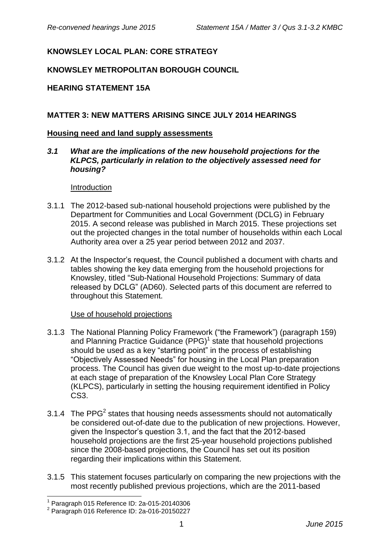# **KNOWSLEY LOCAL PLAN: CORE STRATEGY**

### **KNOWSLEY METROPOLITAN BOROUGH COUNCIL**

#### **HEARING STATEMENT 15A**

#### **MATTER 3: NEW MATTERS ARISING SINCE JULY 2014 HEARINGS**

#### **Housing need and land supply assessments**

*3.1 What are the implications of the new household projections for the KLPCS, particularly in relation to the objectively assessed need for housing?*

Introduction

- 3.1.1 The 2012-based sub-national household projections were published by the Department for Communities and Local Government (DCLG) in February 2015. A second release was published in March 2015. These projections set out the projected changes in the total number of households within each Local Authority area over a 25 year period between 2012 and 2037.
- 3.1.2 At the Inspector's request, the Council published a document with charts and tables showing the key data emerging from the household projections for Knowsley, titled "Sub-National Household Projections: Summary of data released by DCLG" (AD60). Selected parts of this document are referred to throughout this Statement.

#### Use of household projections

- 3.1.3 The National Planning Policy Framework ("the Framework") (paragraph 159) and Planning Practice Guidance (PPG)<sup>1</sup> state that household projections should be used as a key "starting point" in the process of establishing "Objectively Assessed Needs" for housing in the Local Plan preparation process. The Council has given due weight to the most up-to-date projections at each stage of preparation of the Knowsley Local Plan Core Strategy (KLPCS), particularly in setting the housing requirement identified in Policy CS3.
- 3.1.4 The PPG<sup>2</sup> states that housing needs assessments should not automatically be considered out-of-date due to the publication of new projections. However, given the Inspector's question 3.1, and the fact that the 2012-based household projections are the first 25-year household projections published since the 2008-based projections, the Council has set out its position regarding their implications within this Statement.
- 3.1.5 This statement focuses particularly on comparing the new projections with the most recently published previous projections, which are the 2011-based

<sup>1</sup> 1 Paragraph 015 Reference ID: 2a-015-20140306

<sup>2</sup> Paragraph 016 Reference ID: 2a-016-20150227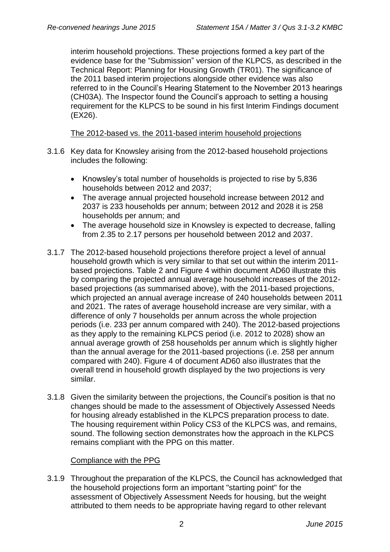interim household projections. These projections formed a key part of the evidence base for the "Submission" version of the KLPCS, as described in the Technical Report: Planning for Housing Growth (TR01). The significance of the 2011 based interim projections alongside other evidence was also referred to in the Council's Hearing Statement to the November 2013 hearings (CH03A). The Inspector found the Council's approach to setting a housing requirement for the KLPCS to be sound in his first Interim Findings document (EX26).

#### The 2012-based vs. the 2011-based interim household projections

- 3.1.6 Key data for Knowsley arising from the 2012-based household projections includes the following:
	- Knowsley's total number of households is projected to rise by 5,836 households between 2012 and 2037;
	- The average annual projected household increase between 2012 and 2037 is 233 households per annum; between 2012 and 2028 it is 258 households per annum; and
	- The average household size in Knowsley is expected to decrease, falling from 2.35 to 2.17 persons per household between 2012 and 2037.
- 3.1.7 The 2012-based household projections therefore project a level of annual household growth which is very similar to that set out within the interim 2011 based projections. Table 2 and Figure 4 within document AD60 illustrate this by comparing the projected annual average household increases of the 2012 based projections (as summarised above), with the 2011-based projections, which projected an annual average increase of 240 households between 2011 and 2021. The rates of average household increase are very similar, with a difference of only 7 households per annum across the whole projection periods (i.e. 233 per annum compared with 240). The 2012-based projections as they apply to the remaining KLPCS period (i.e. 2012 to 2028) show an annual average growth of 258 households per annum which is slightly higher than the annual average for the 2011-based projections (i.e. 258 per annum compared with 240). Figure 4 of document AD60 also illustrates that the overall trend in household growth displayed by the two projections is very similar.
- 3.1.8 Given the similarity between the projections, the Council's position is that no changes should be made to the assessment of Objectively Assessed Needs for housing already established in the KLPCS preparation process to date. The housing requirement within Policy CS3 of the KLPCS was, and remains, sound. The following section demonstrates how the approach in the KLPCS remains compliant with the PPG on this matter.

#### Compliance with the PPG

3.1.9 Throughout the preparation of the KLPCS, the Council has acknowledged that the household projections form an important "starting point" for the assessment of Objectively Assessment Needs for housing, but the weight attributed to them needs to be appropriate having regard to other relevant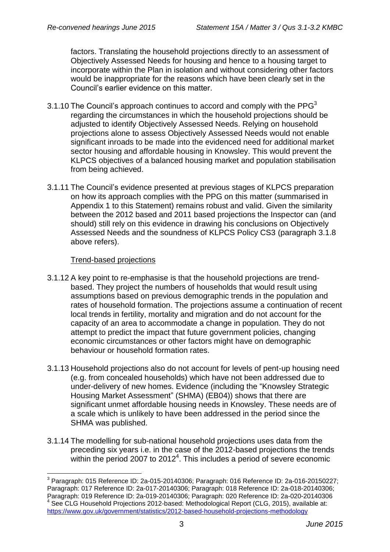factors. Translating the household projections directly to an assessment of Objectively Assessed Needs for housing and hence to a housing target to incorporate within the Plan in isolation and without considering other factors would be inappropriate for the reasons which have been clearly set in the Council's earlier evidence on this matter.

- 3.1.10 The Council's approach continues to accord and comply with the  $PPG<sup>3</sup>$ regarding the circumstances in which the household projections should be adjusted to identify Objectively Assessed Needs. Relying on household projections alone to assess Objectively Assessed Needs would not enable significant inroads to be made into the evidenced need for additional market sector housing and affordable housing in Knowsley. This would prevent the KLPCS objectives of a balanced housing market and population stabilisation from being achieved.
- 3.1.11 The Council's evidence presented at previous stages of KLPCS preparation on how its approach complies with the PPG on this matter (summarised in Appendix 1 to this Statement) remains robust and valid. Given the similarity between the 2012 based and 2011 based projections the Inspector can (and should) still rely on this evidence in drawing his conclusions on Objectively Assessed Needs and the soundness of KLPCS Policy CS3 (paragraph 3.1.8 above refers).

#### Trend-based projections

- 3.1.12 A key point to re-emphasise is that the household projections are trendbased. They project the numbers of households that would result using assumptions based on previous demographic trends in the population and rates of household formation. The projections assume a continuation of recent local trends in fertility, mortality and migration and do not account for the capacity of an area to accommodate a change in population. They do not attempt to predict the impact that future government policies, changing economic circumstances or other factors might have on demographic behaviour or household formation rates.
- 3.1.13 Household projections also do not account for levels of pent-up housing need (e.g. from concealed households) which have not been addressed due to under-delivery of new homes. Evidence (including the "Knowsley Strategic Housing Market Assessment" (SHMA) (EB04)) shows that there are significant unmet affordable housing needs in Knowsley. These needs are of a scale which is unlikely to have been addressed in the period since the SHMA was published.
- 3.1.14 The modelling for sub-national household projections uses data from the preceding six years i.e. in the case of the 2012-based projections the trends within the period 2007 to 2012<sup>4</sup>. This includes a period of severe economic

\_\_\_\_\_\_\_\_\_\_\_\_\_\_\_\_\_\_\_\_\_\_\_\_\_\_\_\_\_\_\_\_\_\_\_\_<br><sup>3</sup> Paragraph: 015 Reference ID: 2a-015-20140306; Paragraph: 016 Reference ID: 2a-016-20150227; Paragraph: 017 Reference ID: 2a-017-20140306; Paragraph: 018 Reference ID: 2a-018-20140306; Paragraph: 019 Reference ID: 2a-019-20140306; Paragraph: 020 Reference ID: 2a-020-20140306 4 See CLG Household Projections 2012-based: Methodological Report (CLG, 2015), available at: <https://www.gov.uk/government/statistics/2012-based-household-projections-methodology>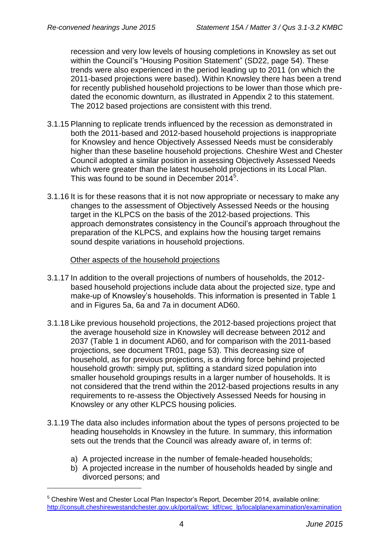recession and very low levels of housing completions in Knowsley as set out within the Council's "Housing Position Statement" (SD22, page 54). These trends were also experienced in the period leading up to 2011 (on which the 2011-based projections were based). Within Knowsley there has been a trend for recently published household projections to be lower than those which predated the economic downturn, as illustrated in Appendix 2 to this statement. The 2012 based projections are consistent with this trend.

- 3.1.15 Planning to replicate trends influenced by the recession as demonstrated in both the 2011-based and 2012-based household projections is inappropriate for Knowsley and hence Objectively Assessed Needs must be considerably higher than these baseline household projections. Cheshire West and Chester Council adopted a similar position in assessing Objectively Assessed Needs which were greater than the latest household projections in its Local Plan. This was found to be sound in December 2014<sup>5</sup>.
- 3.1.16 It is for these reasons that it is not now appropriate or necessary to make any changes to the assessment of Objectively Assessed Needs or the housing target in the KLPCS on the basis of the 2012-based projections. This approach demonstrates consistency in the Council's approach throughout the preparation of the KLPCS, and explains how the housing target remains sound despite variations in household projections.

#### Other aspects of the household projections

- 3.1.17 In addition to the overall projections of numbers of households, the 2012 based household projections include data about the projected size, type and make-up of Knowsley's households. This information is presented in Table 1 and in Figures 5a, 6a and 7a in document AD60.
- 3.1.18 Like previous household projections, the 2012-based projections project that the average household size in Knowsley will decrease between 2012 and 2037 (Table 1 in document AD60, and for comparison with the 2011-based projections, see document TR01, page 53). This decreasing size of household, as for previous projections, is a driving force behind projected household growth: simply put, splitting a standard sized population into smaller household groupings results in a larger number of households. It is not considered that the trend within the 2012-based projections results in any requirements to re-assess the Objectively Assessed Needs for housing in Knowsley or any other KLPCS housing policies.
- 3.1.19 The data also includes information about the types of persons projected to be heading households in Knowsley in the future. In summary, this information sets out the trends that the Council was already aware of, in terms of:
	- a) A projected increase in the number of female-headed households;
	- b) A projected increase in the number of households headed by single and divorced persons; and

1

<sup>&</sup>lt;sup>5</sup> Cheshire West and Chester Local Plan Inspector's Report, December 2014, available online: [http://consult.cheshirewestandchester.gov.uk/portal/cwc\\_ldf/cwc\\_lp/localplanexamination/examination](http://consult.cheshirewestandchester.gov.uk/portal/cwc_ldf/cwc_lp/localplanexamination/examination)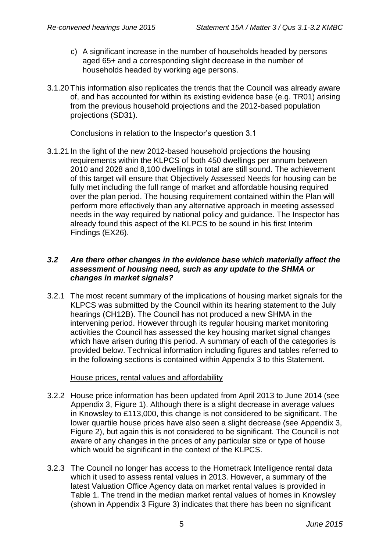- c) A significant increase in the number of households headed by persons aged 65+ and a corresponding slight decrease in the number of households headed by working age persons.
- 3.1.20 This information also replicates the trends that the Council was already aware of, and has accounted for within its existing evidence base (e.g. TR01) arising from the previous household projections and the 2012-based population projections (SD31).

#### Conclusions in relation to the Inspector's question 3.1

3.1.21 In the light of the new 2012-based household projections the housing requirements within the KLPCS of both 450 dwellings per annum between 2010 and 2028 and 8,100 dwellings in total are still sound. The achievement of this target will ensure that Objectively Assessed Needs for housing can be fully met including the full range of market and affordable housing required over the plan period. The housing requirement contained within the Plan will perform more effectively than any alternative approach in meeting assessed needs in the way required by national policy and guidance. The Inspector has already found this aspect of the KLPCS to be sound in his first Interim Findings (EX26).

#### *3.2 Are there other changes in the evidence base which materially affect the assessment of housing need, such as any update to the SHMA or changes in market signals?*

3.2.1 The most recent summary of the implications of housing market signals for the KLPCS was submitted by the Council within its hearing statement to the July hearings (CH12B). The Council has not produced a new SHMA in the intervening period. However through its regular housing market monitoring activities the Council has assessed the key housing market signal changes which have arisen during this period. A summary of each of the categories is provided below. Technical information including figures and tables referred to in the following sections is contained within Appendix 3 to this Statement.

#### House prices, rental values and affordability

- 3.2.2 House price information has been updated from April 2013 to June 2014 (see Appendix 3, Figure 1). Although there is a slight decrease in average values in Knowsley to £113,000, this change is not considered to be significant. The lower quartile house prices have also seen a slight decrease (see Appendix 3, Figure 2), but again this is not considered to be significant. The Council is not aware of any changes in the prices of any particular size or type of house which would be significant in the context of the KLPCS.
- 3.2.3 The Council no longer has access to the Hometrack Intelligence rental data which it used to assess rental values in 2013. However, a summary of the latest Valuation Office Agency data on market rental values is provided in Table 1. The trend in the median market rental values of homes in Knowsley (shown in Appendix 3 Figure 3) indicates that there has been no significant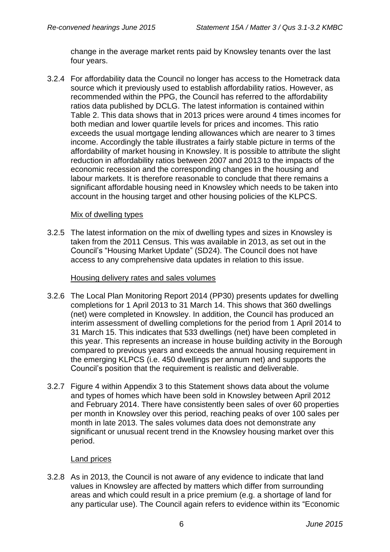change in the average market rents paid by Knowsley tenants over the last four years.

3.2.4 For affordability data the Council no longer has access to the Hometrack data source which it previously used to establish affordability ratios. However, as recommended within the PPG, the Council has referred to the affordability ratios data published by DCLG. The latest information is contained within Table 2. This data shows that in 2013 prices were around 4 times incomes for both median and lower quartile levels for prices and incomes. This ratio exceeds the usual mortgage lending allowances which are nearer to 3 times income. Accordingly the table illustrates a fairly stable picture in terms of the affordability of market housing in Knowsley. It is possible to attribute the slight reduction in affordability ratios between 2007 and 2013 to the impacts of the economic recession and the corresponding changes in the housing and labour markets. It is therefore reasonable to conclude that there remains a significant affordable housing need in Knowsley which needs to be taken into account in the housing target and other housing policies of the KLPCS.

### Mix of dwelling types

3.2.5 The latest information on the mix of dwelling types and sizes in Knowsley is taken from the 2011 Census. This was available in 2013, as set out in the Council's "Housing Market Update" (SD24). The Council does not have access to any comprehensive data updates in relation to this issue.

#### Housing delivery rates and sales volumes

- 3.2.6 The Local Plan Monitoring Report 2014 (PP30) presents updates for dwelling completions for 1 April 2013 to 31 March 14. This shows that 360 dwellings (net) were completed in Knowsley. In addition, the Council has produced an interim assessment of dwelling completions for the period from 1 April 2014 to 31 March 15. This indicates that 533 dwellings (net) have been completed in this year. This represents an increase in house building activity in the Borough compared to previous years and exceeds the annual housing requirement in the emerging KLPCS (i.e. 450 dwellings per annum net) and supports the Council's position that the requirement is realistic and deliverable.
- 3.2.7 Figure 4 within Appendix 3 to this Statement shows data about the volume and types of homes which have been sold in Knowsley between April 2012 and February 2014. There have consistently been sales of over 60 properties per month in Knowsley over this period, reaching peaks of over 100 sales per month in late 2013. The sales volumes data does not demonstrate any significant or unusual recent trend in the Knowsley housing market over this period.

# Land prices

3.2.8 As in 2013, the Council is not aware of any evidence to indicate that land values in Knowsley are affected by matters which differ from surrounding areas and which could result in a price premium (e.g. a shortage of land for any particular use). The Council again refers to evidence within its "Economic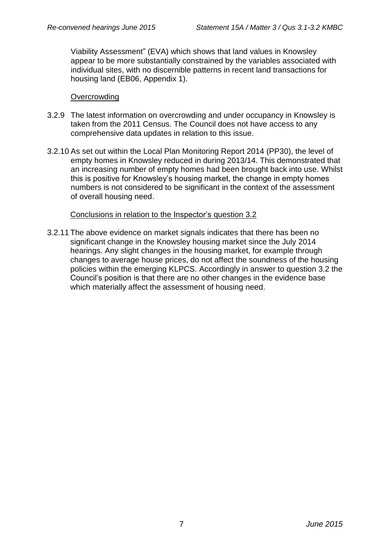Viability Assessment" (EVA) which shows that land values in Knowsley appear to be more substantially constrained by the variables associated with individual sites, with no discernible patterns in recent land transactions for housing land (EB06, Appendix 1).

#### **Overcrowding**

- 3.2.9 The latest information on overcrowding and under occupancy in Knowsley is taken from the 2011 Census. The Council does not have access to any comprehensive data updates in relation to this issue.
- 3.2.10 As set out within the Local Plan Monitoring Report 2014 (PP30), the level of empty homes in Knowsley reduced in during 2013/14. This demonstrated that an increasing number of empty homes had been brought back into use. Whilst this is positive for Knowsley's housing market, the change in empty homes numbers is not considered to be significant in the context of the assessment of overall housing need.

### Conclusions in relation to the Inspector's question 3.2

3.2.11 The above evidence on market signals indicates that there has been no significant change in the Knowsley housing market since the July 2014 hearings. Any slight changes in the housing market, for example through changes to average house prices, do not affect the soundness of the housing policies within the emerging KLPCS. Accordingly in answer to question 3.2 the Council's position is that there are no other changes in the evidence base which materially affect the assessment of housing need.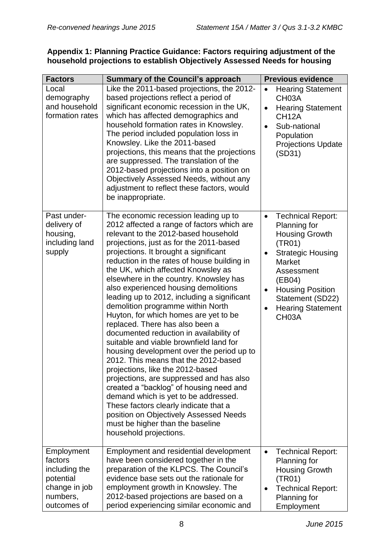### **Appendix 1: Planning Practice Guidance: Factors requiring adjustment of the household projections to establish Objectively Assessed Needs for housing**

| <b>Factors</b>                                                                                  | <b>Summary of the Council's approach</b>                                                                                                                                                                                                                                                                                                                                                                                                                                                                                                                                                                                                                                                                                                                                                                                                                                                                                                                                                                                                             | <b>Previous evidence</b>                                                                                                                                                                                                                                                         |
|-------------------------------------------------------------------------------------------------|------------------------------------------------------------------------------------------------------------------------------------------------------------------------------------------------------------------------------------------------------------------------------------------------------------------------------------------------------------------------------------------------------------------------------------------------------------------------------------------------------------------------------------------------------------------------------------------------------------------------------------------------------------------------------------------------------------------------------------------------------------------------------------------------------------------------------------------------------------------------------------------------------------------------------------------------------------------------------------------------------------------------------------------------------|----------------------------------------------------------------------------------------------------------------------------------------------------------------------------------------------------------------------------------------------------------------------------------|
| Local<br>demography<br>and household<br>formation rates                                         | Like the 2011-based projections, the 2012-<br>based projections reflect a period of<br>significant economic recession in the UK,<br>which has affected demographics and<br>household formation rates in Knowsley.<br>The period included population loss in<br>Knowsley. Like the 2011-based<br>projections, this means that the projections<br>are suppressed. The translation of the<br>2012-based projections into a position on<br>Objectively Assessed Needs, without any<br>adjustment to reflect these factors, would<br>be inappropriate.                                                                                                                                                                                                                                                                                                                                                                                                                                                                                                    | <b>Hearing Statement</b><br>CH <sub>03</sub> A<br><b>Hearing Statement</b><br>$\bullet$<br>CH <sub>12</sub> A<br>Sub-national<br>Population<br><b>Projections Update</b><br>(SD31)                                                                                               |
| Past under-<br>delivery of<br>housing,<br>including land<br>supply                              | The economic recession leading up to<br>2012 affected a range of factors which are<br>relevant to the 2012-based household<br>projections, just as for the 2011-based<br>projections. It brought a significant<br>reduction in the rates of house building in<br>the UK, which affected Knowsley as<br>elsewhere in the country. Knowsley has<br>also experienced housing demolitions<br>leading up to 2012, including a significant<br>demolition programme within North<br>Huyton, for which homes are yet to be<br>replaced. There has also been a<br>documented reduction in availability of<br>suitable and viable brownfield land for<br>housing development over the period up to<br>2012. This means that the 2012-based<br>projections, like the 2012-based<br>projections, are suppressed and has also<br>created a "backlog" of housing need and<br>demand which is yet to be addressed.<br>These factors clearly indicate that a<br>position on Objectively Assessed Needs<br>must be higher than the baseline<br>household projections. | <b>Technical Report:</b><br>$\bullet$<br>Planning for<br><b>Housing Growth</b><br>(TR01)<br><b>Strategic Housing</b><br>$\bullet$<br><b>Market</b><br>Assessment<br>(EB04)<br><b>Housing Position</b><br>٠<br>Statement (SD22)<br><b>Hearing Statement</b><br>CH <sub>03</sub> A |
| Employment<br>factors<br>including the<br>potential<br>change in job<br>numbers,<br>outcomes of | Employment and residential development<br>have been considered together in the<br>preparation of the KLPCS. The Council's<br>evidence base sets out the rationale for<br>employment growth in Knowsley. The<br>2012-based projections are based on a<br>period experiencing similar economic and                                                                                                                                                                                                                                                                                                                                                                                                                                                                                                                                                                                                                                                                                                                                                     | <b>Technical Report:</b><br>$\bullet$<br>Planning for<br><b>Housing Growth</b><br>(TR01)<br><b>Technical Report:</b><br>$\bullet$<br>Planning for<br>Employment                                                                                                                  |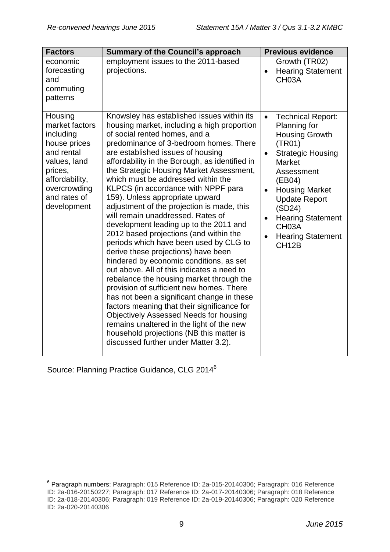| <b>Factors</b>                                                                                                                                                   | <b>Summary of the Council's approach</b>                                                                                                                                                                                                                                                                                                                                                                                                                                                                                                                                                                                                                                                                                                                                                                                                                                                                                                                                                                                                                                                                                                        | <b>Previous evidence</b>                                                                                                                                                                                                                                                                                                                                            |
|------------------------------------------------------------------------------------------------------------------------------------------------------------------|-------------------------------------------------------------------------------------------------------------------------------------------------------------------------------------------------------------------------------------------------------------------------------------------------------------------------------------------------------------------------------------------------------------------------------------------------------------------------------------------------------------------------------------------------------------------------------------------------------------------------------------------------------------------------------------------------------------------------------------------------------------------------------------------------------------------------------------------------------------------------------------------------------------------------------------------------------------------------------------------------------------------------------------------------------------------------------------------------------------------------------------------------|---------------------------------------------------------------------------------------------------------------------------------------------------------------------------------------------------------------------------------------------------------------------------------------------------------------------------------------------------------------------|
| economic<br>forecasting<br>and<br>commuting<br>patterns                                                                                                          | employment issues to the 2011-based<br>projections.                                                                                                                                                                                                                                                                                                                                                                                                                                                                                                                                                                                                                                                                                                                                                                                                                                                                                                                                                                                                                                                                                             | Growth (TR02)<br><b>Hearing Statement</b><br>$\bullet$<br>CH <sub>03</sub> A                                                                                                                                                                                                                                                                                        |
| Housing<br>market factors<br>including<br>house prices<br>and rental<br>values, land<br>prices,<br>affordability,<br>overcrowding<br>and rates of<br>development | Knowsley has established issues within its<br>housing market, including a high proportion<br>of social rented homes, and a<br>predominance of 3-bedroom homes. There<br>are established issues of housing<br>affordability in the Borough, as identified in<br>the Strategic Housing Market Assessment,<br>which must be addressed within the<br>KLPCS (in accordance with NPPF para<br>159). Unless appropriate upward<br>adjustment of the projection is made, this<br>will remain unaddressed. Rates of<br>development leading up to the 2011 and<br>2012 based projections (and within the<br>periods which have been used by CLG to<br>derive these projections) have been<br>hindered by economic conditions, as set<br>out above. All of this indicates a need to<br>rebalance the housing market through the<br>provision of sufficient new homes. There<br>has not been a significant change in these<br>factors meaning that their significance for<br><b>Objectively Assessed Needs for housing</b><br>remains unaltered in the light of the new<br>household projections (NB this matter is<br>discussed further under Matter 3.2). | <b>Technical Report:</b><br>$\bullet$<br>Planning for<br><b>Housing Growth</b><br>(TR01)<br><b>Strategic Housing</b><br>$\bullet$<br><b>Market</b><br>Assessment<br>(EB04)<br><b>Housing Market</b><br>$\bullet$<br><b>Update Report</b><br>(SD24)<br><b>Hearing Statement</b><br>$\bullet$<br>CH <sub>03</sub> A<br><b>Hearing Statement</b><br>CH <sub>12</sub> B |

Source: Planning Practice Guidance, CLG 2014<sup>6</sup>

 6 Paragraph numbers: Paragraph: 015 Reference ID: 2a-015-20140306; Paragraph: 016 Reference ID: 2a-016-20150227; Paragraph: 017 Reference ID: 2a-017-20140306; Paragraph: 018 Reference ID: 2a-018-20140306; Paragraph: 019 Reference ID: 2a-019-20140306; Paragraph: 020 Reference ID: 2a-020-20140306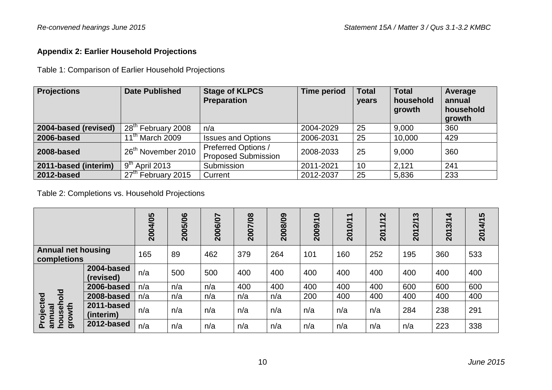# **Appendix 2: Earlier Household Projections**

Table 1: Comparison of Earlier Household Projections

| <b>Projections</b>   | <b>Date Published</b>               | <b>Stage of KLPCS</b><br><b>Preparation</b>       | <b>Time period</b> | <b>Total</b><br>years | <b>Total</b><br>household<br>growth | Average<br>annual<br>household<br>growth |
|----------------------|-------------------------------------|---------------------------------------------------|--------------------|-----------------------|-------------------------------------|------------------------------------------|
| 2004-based (revised) | 28 <sup>th</sup> February 2008      | n/a                                               | 2004-2029          | 25                    | 9,000                               | 360                                      |
| 2006-based           | 11 <sup>th</sup> March 2009         | <b>Issues and Options</b>                         | 2006-2031          | 25                    | 10,000                              | 429                                      |
| 2008-based           | 26 <sup>th</sup> November 2010      | Preferred Options /<br><b>Proposed Submission</b> | 2008-2033          | 25                    | 9,000                               | 360                                      |
| 2011-based (interim) | $\sqrt{9}$ <sup>th</sup> April 2013 | Submission                                        | 2011-2021          | 10                    | 2,121                               | 241                                      |
| 2012-based           | 27 <sup>th</sup> February 2015      | Current                                           | 2012-2037          | 25                    | 5,836                               | 233                                      |

Table 2: Completions vs. Household Projections

|                                                          |                         | 2004/05 | 2005/06 | 2006/07 | 2007/08 | 2008/09 | $\bullet$<br>2009/1 | $\blacktriangledown$<br>2010/1 | 1/12<br>201 | S<br><b>Z/1</b><br>$\overline{\mathbf{S}}$ | 4<br>2013/1 | 2014/15 |
|----------------------------------------------------------|-------------------------|---------|---------|---------|---------|---------|---------------------|--------------------------------|-------------|--------------------------------------------|-------------|---------|
| <b>Annual net housing</b><br>completions                 |                         | 165     | 89      | 462     | 379     | 264     | 101                 | 160                            | 252         | 195                                        | 360         | 533     |
|                                                          | 2004-based<br>(revised) | n/a     | 500     | 500     | 400     | 400     | 400                 | 400                            | 400         | 400                                        | 400         | 400     |
|                                                          | 2006-based              | n/a     | n/a     | n/a     | 400     | 400     | 400                 | 400                            | 400         | 600                                        | 600         | 600     |
| $\frac{d}{d}$<br>ted                                     | 2008-based              | n/a     | n/a     | n/a     | n/a     | n/a     | 200                 | 400                            | 400         | 400                                        | 400         | 400     |
| 옾<br>roject<br>annual<br>$\boldsymbol{\omega}$<br>ğ<br>δ | 2011-based<br>(interim) | n/a     | n/a     | n/a     | n/a     | n/a     | n/a                 | n/a                            | n/a         | 284                                        | 238         | 291     |
| $\overline{9}$<br>៉ិ<br>Ը                                | 2012-based              | n/a     | n/a     | n/a     | n/a     | n/a     | n/a                 | n/a                            | n/a         | n/a                                        | 223         | 338     |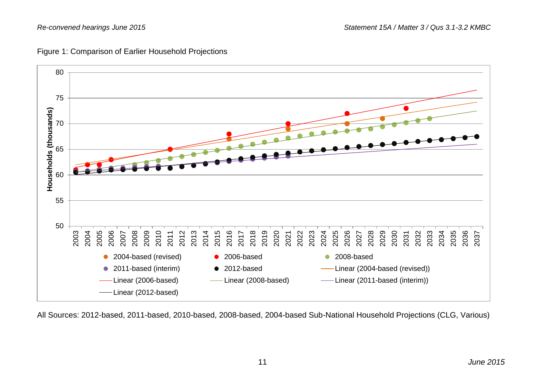



All Sources: 2012-based, 2011-based, 2010-based, 2008-based, 2004-based Sub-National Household Projections (CLG, Various)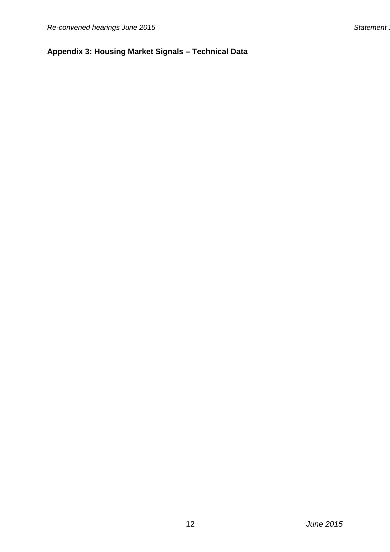# **Appendix 3: Housing Market Signals – Technical Data**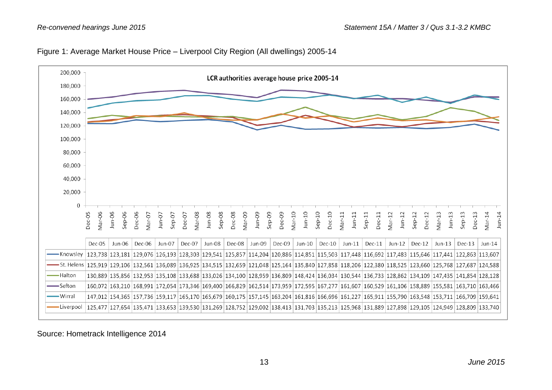



Source: Hometrack Intelligence 2014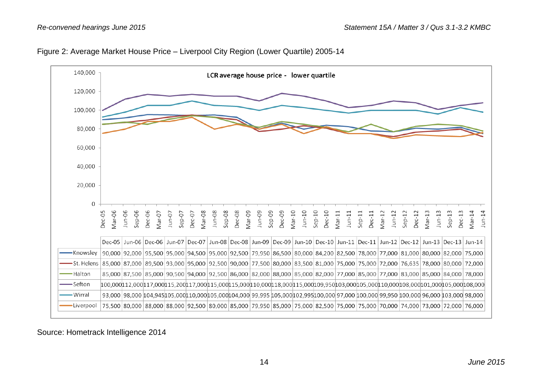



Source: Hometrack Intelligence 2014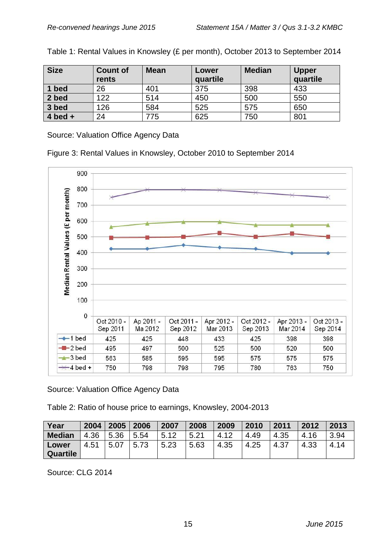| <b>Size</b> | <b>Count of</b><br>rents | <b>Mean</b> | Lower<br>quartile | <b>Median</b> | <b>Upper</b><br>quartile |
|-------------|--------------------------|-------------|-------------------|---------------|--------------------------|
| 1 bed       | 26                       | 401         | 375               | 398           | 433                      |
| 2 bed       | 122                      | 514         | 450               | 500           | 550                      |
| 3 bed       | 126                      | 584         | 525               | 575           | 650                      |
| $4$ bed $+$ | 24                       | 775         | 625               | 750           | 801                      |

Table 1: Rental Values in Knowsley (£ per month), October 2013 to September 2014

Source: Valuation Office Agency Data

Figure 3: Rental Values in Knowsley, October 2010 to September 2014



Source: Valuation Office Agency Data

Table 2: Ratio of house price to earnings, Knowsley, 2004-2013

| Year          | 2004 | 2005 | 2006 | 2007 | 2008 | 2009 | 2010 | 2011 | 2012 | 2013 |
|---------------|------|------|------|------|------|------|------|------|------|------|
| <b>Median</b> | 4.36 | 5.36 | 5.54 | 5.12 | 5.21 | 4.12 | 4.49 | 4.35 | 4.16 | 3.94 |
| Lower         | 4.51 | 5.07 | 5.73 | 5.23 | 5.63 | 4.35 | 4.25 | 4.37 | 4.33 | 4.14 |
| Quartile      |      |      |      |      |      |      |      |      |      |      |

Source: CLG 2014